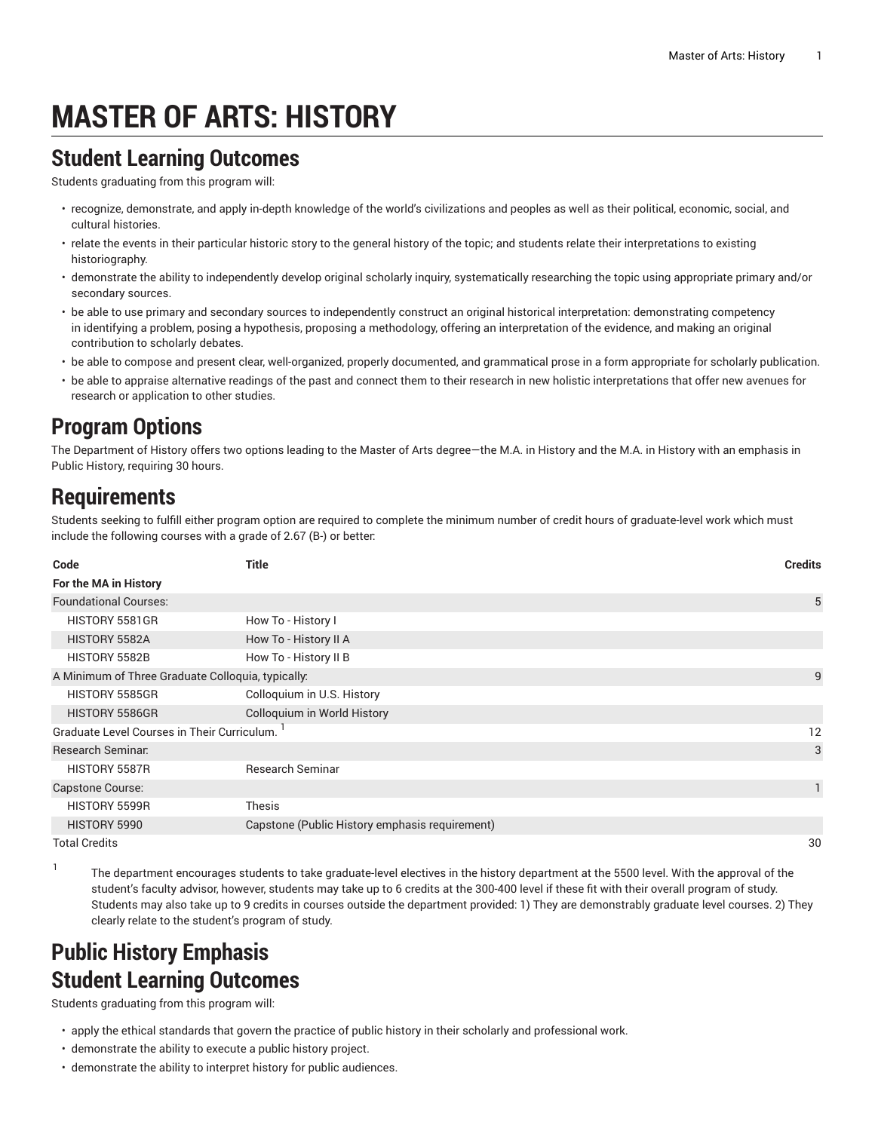# **MASTER OF ARTS: HISTORY**

#### **Student Learning Outcomes**

Students graduating from this program will:

- recognize, demonstrate, and apply in-depth knowledge of the world's civilizations and peoples as well as their political, economic, social, and cultural histories.
- relate the events in their particular historic story to the general history of the topic; and students relate their interpretations to existing historiography.
- demonstrate the ability to independently develop original scholarly inquiry, systematically researching the topic using appropriate primary and/or secondary sources.
- be able to use primary and secondary sources to independently construct an original historical interpretation: demonstrating competency in identifying a problem, posing a hypothesis, proposing a methodology, offering an interpretation of the evidence, and making an original contribution to scholarly debates.
- be able to compose and present clear, well-organized, properly documented, and grammatical prose in a form appropriate for scholarly publication.
- be able to appraise alternative readings of the past and connect them to their research in new holistic interpretations that offer new avenues for research or application to other studies.

## **Program Options**

The Department of History offers two options leading to the Master of Arts degree—the M.A. in History and the M.A. in History with an emphasis in Public History, requiring 30 hours.

## **Requirements**

1

Students seeking to fulfill either program option are required to complete the minimum number of credit hours of graduate-level work which must include the following courses with a grade of 2.67 (B-) or better:

| Code                                              | <b>Title</b>                                   | <b>Credits</b> |
|---------------------------------------------------|------------------------------------------------|----------------|
| For the MA in History                             |                                                |                |
| <b>Foundational Courses:</b>                      |                                                | 5              |
| HISTORY 5581GR                                    | How To - History I                             |                |
| HISTORY 5582A                                     | How To - History II A                          |                |
| HISTORY 5582B                                     | How To - History II B                          |                |
| A Minimum of Three Graduate Colloquia, typically: |                                                | 9              |
| HISTORY 5585GR                                    | Colloquium in U.S. History                     |                |
| HISTORY 5586GR                                    | Colloquium in World History                    |                |
| Graduate Level Courses in Their Curriculum.       |                                                | 12             |
| Research Seminar.                                 |                                                | 3              |
| HISTORY 5587R                                     | <b>Research Seminar</b>                        |                |
| <b>Capstone Course:</b>                           |                                                | $\mathbf{1}$   |
| HISTORY 5599R                                     | <b>Thesis</b>                                  |                |
| HISTORY 5990                                      | Capstone (Public History emphasis requirement) |                |
| <b>Total Credits</b>                              |                                                | 30             |

The department encourages students to take graduate-level electives in the history department at the 5500 level. With the approval of the student's faculty advisor, however, students may take up to 6 credits at the 300-400 level if these fit with their overall program of study. Students may also take up to 9 credits in courses outside the department provided: 1) They are demonstrably graduate level courses. 2) They clearly relate to the student's program of study.

#### **Public History Emphasis Student Learning Outcomes**

Students graduating from this program will:

- apply the ethical standards that govern the practice of public history in their scholarly and professional work.
- demonstrate the ability to execute a public history project.
- demonstrate the ability to interpret history for public audiences.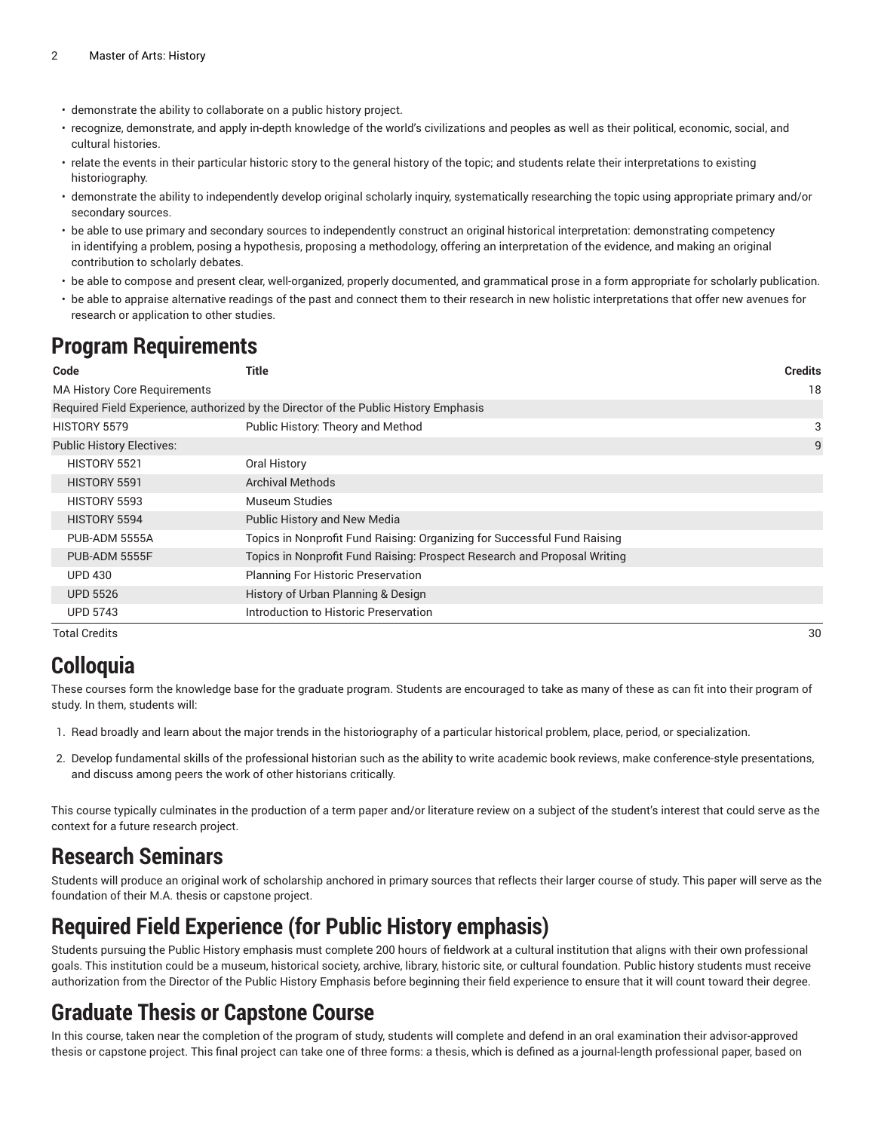- demonstrate the ability to collaborate on a public history project.
- recognize, demonstrate, and apply in-depth knowledge of the world's civilizations and peoples as well as their political, economic, social, and cultural histories.
- relate the events in their particular historic story to the general history of the topic; and students relate their interpretations to existing historiography.
- demonstrate the ability to independently develop original scholarly inquiry, systematically researching the topic using appropriate primary and/or secondary sources.
- be able to use primary and secondary sources to independently construct an original historical interpretation: demonstrating competency in identifying a problem, posing a hypothesis, proposing a methodology, offering an interpretation of the evidence, and making an original contribution to scholarly debates.
- be able to compose and present clear, well-organized, properly documented, and grammatical prose in a form appropriate for scholarly publication.
- be able to appraise alternative readings of the past and connect them to their research in new holistic interpretations that offer new avenues for research or application to other studies.

#### **Program Requirements**

| Code                                | <b>Title</b>                                                                         | <b>Credits</b> |
|-------------------------------------|--------------------------------------------------------------------------------------|----------------|
| <b>MA History Core Requirements</b> |                                                                                      | 18             |
|                                     | Required Field Experience, authorized by the Director of the Public History Emphasis |                |
| HISTORY 5579                        | Public History: Theory and Method                                                    | 3              |
| <b>Public History Electives:</b>    |                                                                                      | 9              |
| HISTORY 5521                        | Oral History                                                                         |                |
| HISTORY 5591                        | <b>Archival Methods</b>                                                              |                |
| HISTORY 5593                        | Museum Studies                                                                       |                |
| HISTORY 5594                        | Public History and New Media                                                         |                |
| PUB-ADM 5555A                       | Topics in Nonprofit Fund Raising: Organizing for Successful Fund Raising             |                |
| PUB-ADM 5555F                       | Topics in Nonprofit Fund Raising: Prospect Research and Proposal Writing             |                |
| <b>UPD 430</b>                      | <b>Planning For Historic Preservation</b>                                            |                |
| <b>UPD 5526</b>                     | History of Urban Planning & Design                                                   |                |
| <b>UPD 5743</b>                     | Introduction to Historic Preservation                                                |                |
| Total Credits                       |                                                                                      | 30             |

## **Colloquia**

These courses form the knowledge base for the graduate program. Students are encouraged to take as many of these as can fit into their program of study. In them, students will:

- 1. Read broadly and learn about the major trends in the historiography of a particular historical problem, place, period, or specialization.
- 2. Develop fundamental skills of the professional historian such as the ability to write academic book reviews, make conference-style presentations, and discuss among peers the work of other historians critically.

This course typically culminates in the production of a term paper and/or literature review on a subject of the student's interest that could serve as the context for a future research project.

#### **Research Seminars**

Students will produce an original work of scholarship anchored in primary sources that reflects their larger course of study. This paper will serve as the foundation of their M.A. thesis or capstone project.

#### **Required Field Experience (for Public History emphasis)**

Students pursuing the Public History emphasis must complete 200 hours of fieldwork at a cultural institution that aligns with their own professional goals. This institution could be a museum, historical society, archive, library, historic site, or cultural foundation. Public history students must receive authorization from the Director of the Public History Emphasis before beginning their field experience to ensure that it will count toward their degree.

#### **Graduate Thesis or Capstone Course**

In this course, taken near the completion of the program of study, students will complete and defend in an oral examination their advisor-approved thesis or capstone project. This final project can take one of three forms: a thesis, which is defined as a journal-length professional paper, based on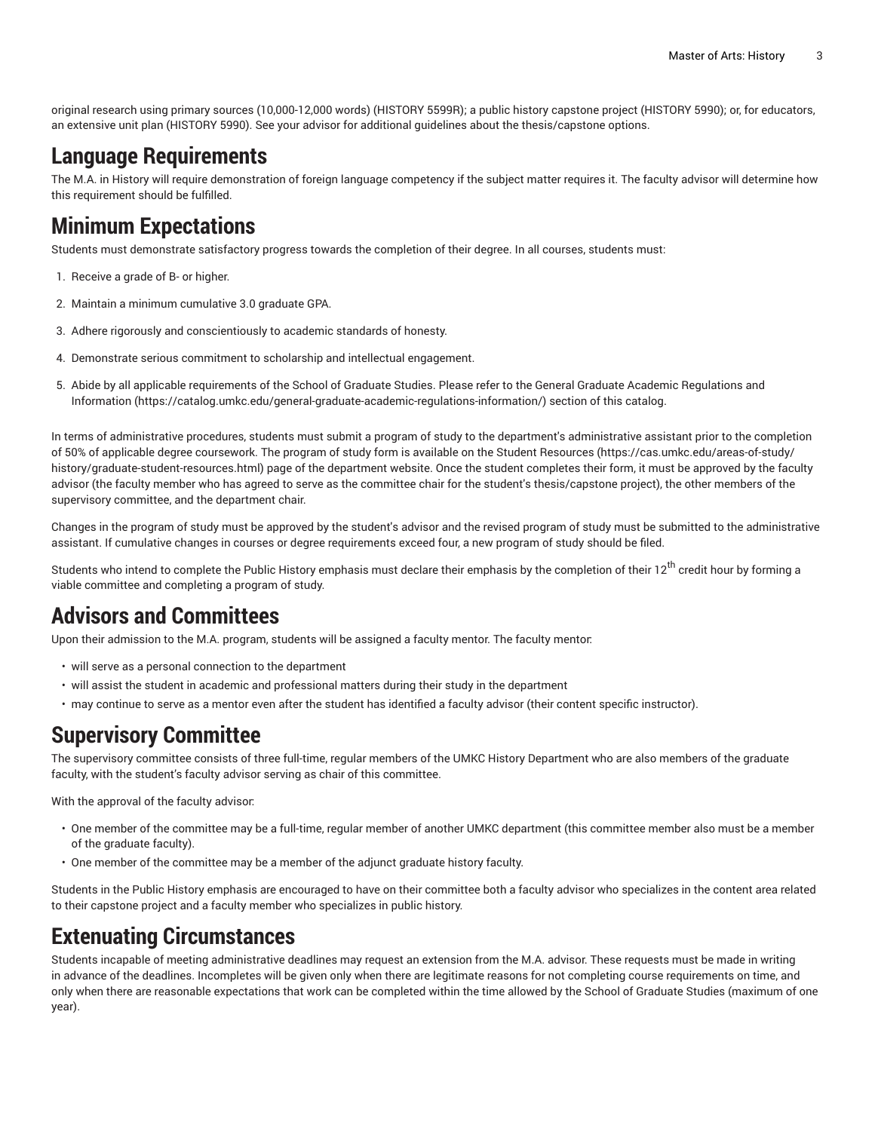original research using primary sources (10,000-12,000 words) (HISTORY 5599R); a public history capstone project (HISTORY 5990); or, for educators, an extensive unit plan (HISTORY 5990). See your advisor for additional guidelines about the thesis/capstone options.

## **Language Requirements**

The M.A. in History will require demonstration of foreign language competency if the subject matter requires it. The faculty advisor will determine how this requirement should be fulfilled.

## **Minimum Expectations**

Students must demonstrate satisfactory progress towards the completion of their degree. In all courses, students must:

- 1. Receive a grade of B- or higher.
- 2. Maintain a minimum cumulative 3.0 graduate GPA.
- 3. Adhere rigorously and conscientiously to academic standards of honesty.
- 4. Demonstrate serious commitment to scholarship and intellectual engagement.
- 5. Abide by all applicable requirements of the School of Graduate Studies. Please refer to the [General Graduate Academic Regulations and](https://catalog.umkc.edu/general-graduate-academic-regulations-information/) [Information](https://catalog.umkc.edu/general-graduate-academic-regulations-information/) ([https://catalog.umkc.edu/general-graduate-academic-regulations-information/\)](https://catalog.umkc.edu/general-graduate-academic-regulations-information/) section of this catalog.

In terms of administrative procedures, students must submit a program of study to the department's administrative assistant prior to the completion of 50% of applicable degree coursework. The program of study form is available on the Student [Resources](https://cas.umkc.edu/areas-of-study/history/graduate-student-resources.html) ([https://cas.umkc.edu/areas-of-study/](https://cas.umkc.edu/areas-of-study/history/graduate-student-resources.html) [history/graduate-student-resources.html](https://cas.umkc.edu/areas-of-study/history/graduate-student-resources.html)) page of the department website. Once the student completes their form, it must be approved by the faculty advisor (the faculty member who has agreed to serve as the committee chair for the student's thesis/capstone project), the other members of the supervisory committee, and the department chair.

Changes in the program of study must be approved by the student's advisor and the revised program of study must be submitted to the administrative assistant. If cumulative changes in courses or degree requirements exceed four, a new program of study should be filed.

Students who intend to complete the Public History emphasis must declare their emphasis by the completion of their 12<sup>th</sup> credit hour by forming a viable committee and completing a program of study.

#### **Advisors and Committees**

Upon their admission to the M.A. program, students will be assigned a faculty mentor. The faculty mentor:

- will serve as a personal connection to the department
- will assist the student in academic and professional matters during their study in the department
- may continue to serve as a mentor even after the student has identified a faculty advisor (their content specific instructor).

#### **Supervisory Committee**

The supervisory committee consists of three full-time, regular members of the UMKC History Department who are also members of the graduate faculty, with the student's faculty advisor serving as chair of this committee.

With the approval of the faculty advisor:

- One member of the committee may be a full-time, regular member of another UMKC department (this committee member also must be a member of the graduate faculty).
- One member of the committee may be a member of the adjunct graduate history faculty.

Students in the Public History emphasis are encouraged to have on their committee both a faculty advisor who specializes in the content area related to their capstone project and a faculty member who specializes in public history.

#### **Extenuating Circumstances**

Students incapable of meeting administrative deadlines may request an extension from the M.A. advisor. These requests must be made in writing in advance of the deadlines. Incompletes will be given only when there are legitimate reasons for not completing course requirements on time, and only when there are reasonable expectations that work can be completed within the time allowed by the School of Graduate Studies (maximum of one year).